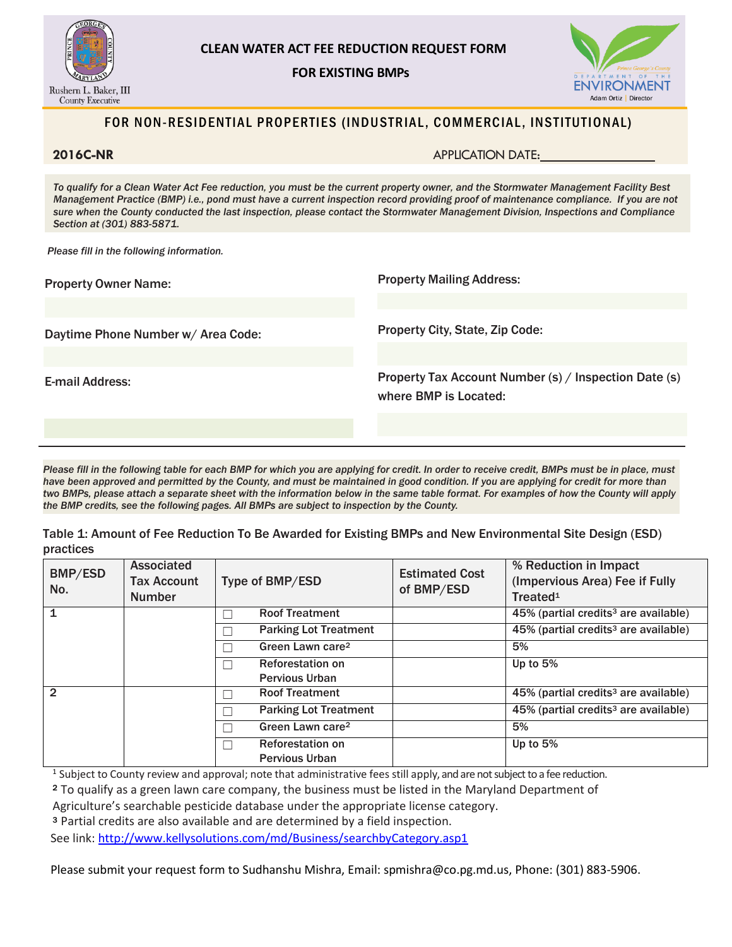

 **FOR EXISTING BMPs**



## FOR NON-RESIDENTIAL PROPERTIES (INDUSTRIAL, COMMERCIAL, INSTITUTIONAL)

**2016C-NR** APPLICATION DATE:

*To qualify for a Clean Water Act Fee reduction, you must be the current property owner, and the Stormwater Management Facility Best Management Practice (BMP) i.e., pond must have a current inspection record providing proof of maintenance compliance. If you are not sure when the County conducted the last inspection, please contact the Stormwater Management Division, Inspections and Compliance Section at (301) 883-5871.*

*Please fill in the following information.*

| <b>Property Owner Name:</b>        | <b>Property Mailing Address:</b>                                               |  |
|------------------------------------|--------------------------------------------------------------------------------|--|
|                                    |                                                                                |  |
| Daytime Phone Number w/ Area Code: | <b>Property City, State, Zip Code:</b>                                         |  |
|                                    |                                                                                |  |
| E-mail Address:                    | Property Tax Account Number (s) / Inspection Date (s)<br>where BMP is Located: |  |
|                                    |                                                                                |  |

*Please fill in the following table for each BMP for which you are applying for credit. In order to receive credit, BMPs must be in place, must*  have been approved and permitted by the County, and must be maintained in good condition. If you are applying for credit for more than *two BMPs, please attach a separate sheet with the information below in the same table format. For examples of how the County will apply the BMP credits, see the following pages. All BMPs are subject to inspection by the County.*

Table 1: Amount of Fee Reduction To Be Awarded for Existing BMPs and New Environmental Site Design (ESD) practices

| BMP/ESD<br>No. | Associated<br><b>Tax Account</b><br><b>Number</b> | Type of BMP/ESD              | <b>Estimated Cost</b><br>of BMP/ESD | % Reduction in Impact<br>(Impervious Area) Fee if Fully<br>Treated <sup>1</sup> |
|----------------|---------------------------------------------------|------------------------------|-------------------------------------|---------------------------------------------------------------------------------|
|                |                                                   | <b>Roof Treatment</b>        |                                     | 45% (partial credits <sup>3</sup> are available)                                |
|                |                                                   | <b>Parking Lot Treatment</b> |                                     | 45% (partial credits <sup>3</sup> are available)                                |
|                |                                                   | Green Lawn care <sup>2</sup> |                                     | 5%                                                                              |
|                |                                                   | <b>Reforestation on</b>      |                                     | Up to $5%$                                                                      |
|                |                                                   | <b>Pervious Urban</b>        |                                     |                                                                                 |
| $\mathfrak{p}$ |                                                   | <b>Roof Treatment</b>        |                                     | 45% (partial credits <sup>3</sup> are available)                                |
|                |                                                   | <b>Parking Lot Treatment</b> |                                     | 45% (partial credits <sup>3</sup> are available)                                |
|                |                                                   | Green Lawn care <sup>2</sup> |                                     | 5%                                                                              |
|                |                                                   | <b>Reforestation on</b>      |                                     | Up to $5%$                                                                      |
|                |                                                   | <b>Pervious Urban</b>        |                                     |                                                                                 |

<sup>1</sup> Subject to County review and approval; note that administrative fees still apply, and are not subject to a fee reduction.

<sup>2</sup> To qualify as a green lawn care company, the business must be listed in the Maryland Department of

Agriculture's searchable pesticide database under the appropriate license category.

<sup>3</sup> Partial credits are also available and are determined by a field inspection.

See link:<http://www.kellysolutions.com/md/Business/searchbyCategory.asp1>

Please submit your request form to Sudhanshu Mishra, Email[: spmishra@co.pg.md.us,](mailto:spmishra@co.pg.md.us) Phone: (301) 883-5906.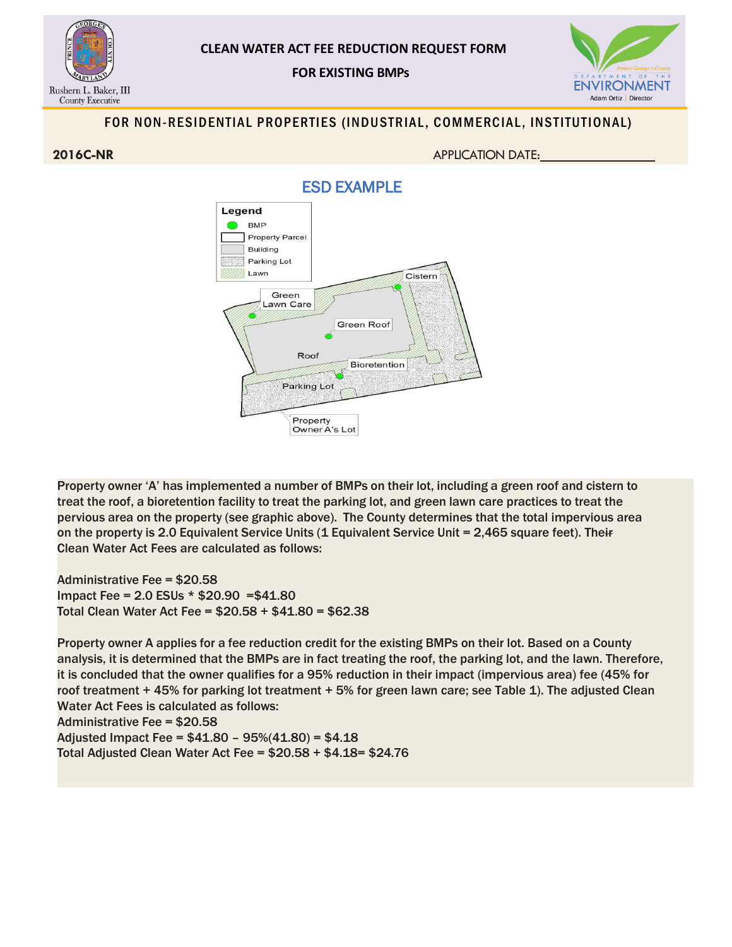

 **FOR EXISTING BMPs**



# FOR NON-RESIDENTIAL PROPERTIES (INDUSTRIAL, COMMERCIAL, INSTITUTIONAL)

**2016C-NR** APPLICATION DATE:





Property owner 'A' has implemented a number of BMPs on their lot, including a green roof and cistern to treat the roof, a bioretention facility to treat the parking lot, and green lawn care practices to treat the pervious area on the property (see graphic above). The County determines that the total impervious area on the property is 2.0 Equivalent Service Units (1 Equivalent Service Unit = 2,465 square feet). Their Clean Water Act Fees are calculated as follows:

Administrative Fee = \$20.58 Impact Fee = 2.0 ESUs \* \$20.90 =\$41.80 Total Clean Water Act Fee = \$20.58 + \$41.80 = \$62.38

Property owner A applies for a fee reduction credit for the existing BMPs on their lot. Based on a County analysis, it is determined that the BMPs are in fact treating the roof, the parking lot, and the lawn. Therefore, it is concluded that the owner qualifies for a 95% reduction in their impact (impervious area) fee (45% for roof treatment + 45% for parking lot treatment + 5% for green lawn care; see Table 1). The adjusted Clean Water Act Fees is calculated as follows: Administrative Fee = \$20.58 Adjusted Impact Fee = \$41.80 – 95%(41.80) = \$4.18 Total Adjusted Clean Water Act Fee = \$20.58 + \$4.18= \$24.76